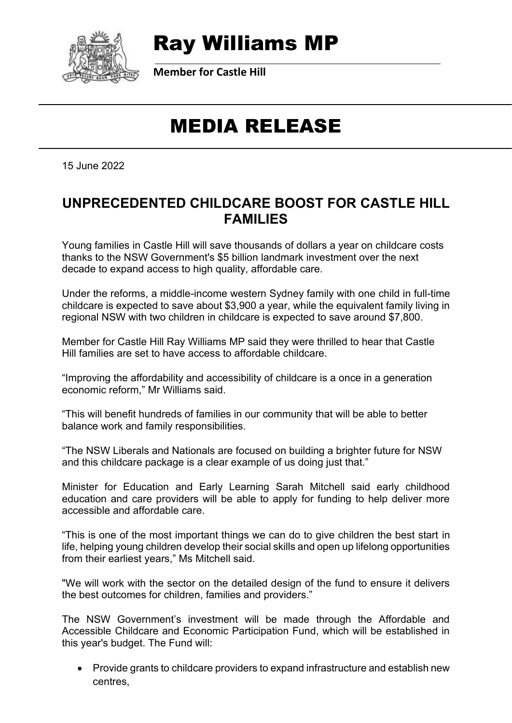

### Ray Williams MP

**Member for Castle Hill**

## MEDIA RELEASE

15 June 2022

#### **UNPRECEDENTED CHILDCARE BOOST FOR CASTLE HILL FAMILIES**

Young families in Castle Hill will save thousands of dollars a year on childcare costs thanks to the NSW Government's \$5 billion landmark investment over the next decade to expand access to high quality, affordable care.

Under the reforms, a middle-income western Sydney family with one child in full-time childcare is expected to save about \$3,900 a year, while the equivalent family living in regional NSW with two children in childcare is expected to save around \$7,800.

Member for Castle Hill Ray Williams MP said they were thrilled to hear that Castle Hill families are set to have access to affordable childcare.

"Improving the affordability and accessibility of childcare is a once in a generation economic reform," Mr Williams said.

"This will benefit hundreds of families in our community that will be able to better balance work and family responsibilities.

"The NSW Liberals and Nationals are focused on building a brighter future for NSW and this childcare package is a clear example of us doing just that."

Minister for Education and Early Learning Sarah Mitchell said early childhood education and care providers will be able to apply for funding to help deliver more accessible and affordable care.

"This is one of the most important things we can do to give children the best start in life, helping young children develop their social skills and open up lifelong opportunities from their earliest years," Ms Mitchell said.

"We will work with the sector on the detailed design of the fund to ensure it delivers the best outcomes for children, families and providers."

The NSW Government's investment will be made through the Affordable and Accessible Childcare and Economic Participation Fund, which will be established in this year's budget. The Fund will:

• Provide grants to childcare providers to expand infrastructure and establish new centres,